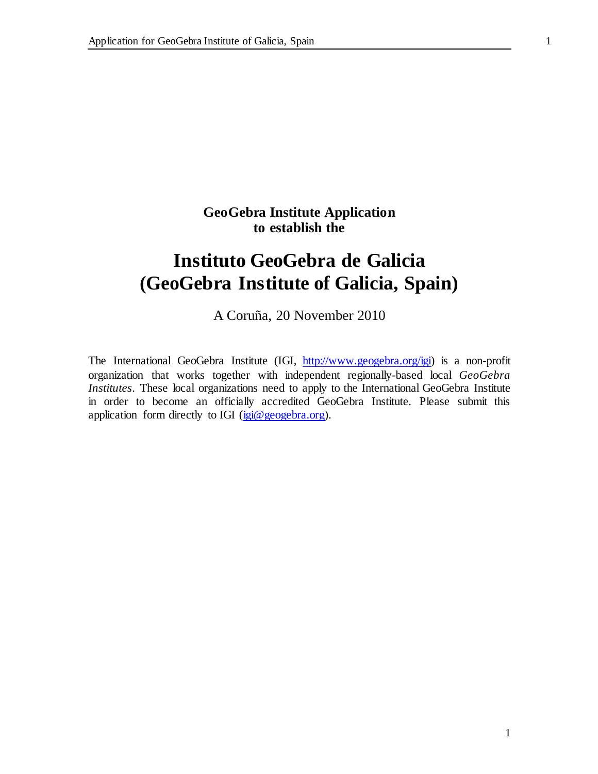# **GeoGebra Institute Application to establish the**

# **Instituto GeoGebra de Galicia (GeoGebra Institute of Galicia, Spain)**

A Coruña, 20 November 2010

The International GeoGebra Institute (IGI[, http://www.geogebra.org/igi\)](http://www.geogebra.org/igi) is a non-profit organization that works together with independent regionally-based local *GeoGebra Institutes*. These local organizations need to apply to the International GeoGebra Institute in order to become an officially accredited GeoGebra Institute. Please submit this application form directly to IGI ( $i$ gi@geogebra.org).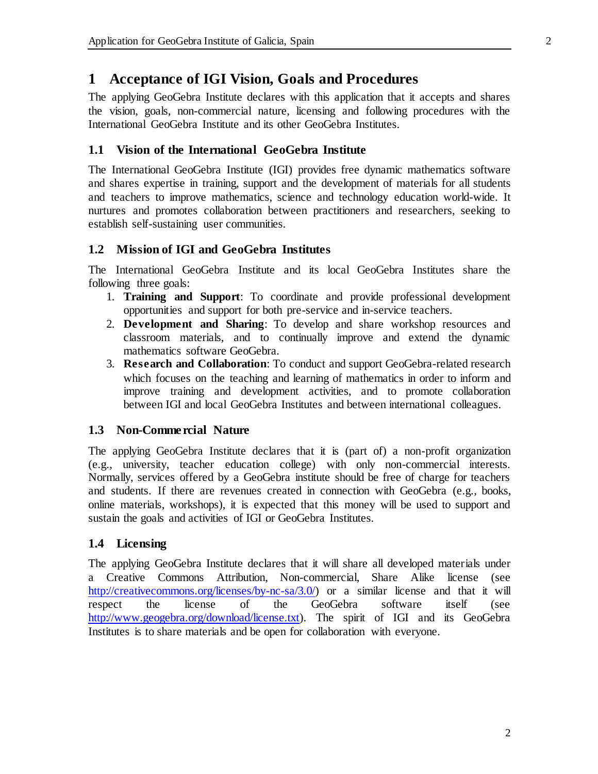## **1 Acceptance of IGI Vision, Goals and Procedures**

The applying GeoGebra Institute declares with this application that it accepts and shares the vision, goals, non-commercial nature, licensing and following procedures with the International GeoGebra Institute and its other GeoGebra Institutes.

## **1.1 Vision of the International GeoGebra Institute**

The International GeoGebra Institute (IGI) provides free dynamic mathematics software and shares expertise in training, support and the development of materials for all students and teachers to improve mathematics, science and technology education world-wide. It nurtures and promotes collaboration between practitioners and researchers, seeking to establish self-sustaining user communities.

## **1.2 Mission of IGI and GeoGebra Institutes**

The International GeoGebra Institute and its local GeoGebra Institutes share the following three goals:

- 1. **Training and Support**: To coordinate and provide professional development opportunities and support for both pre-service and in-service teachers.
- 2. **Development and Sharing**: To develop and share workshop resources and classroom materials, and to continually improve and extend the dynamic mathematics software GeoGebra.
- 3. **Research and Collaboration**: To conduct and support GeoGebra-related research which focuses on the teaching and learning of mathematics in order to inform and improve training and development activities, and to promote collaboration between IGI and local GeoGebra Institutes and between international colleagues.

## **1.3 Non-Commercial Nature**

The applying GeoGebra Institute declares that it is (part of) a non-profit organization (e.g., university, teacher education college) with only non-commercial interests. Normally, services offered by a GeoGebra institute should be free of charge for teachers and students. If there are revenues created in connection with GeoGebra (e.g., books, online materials, workshops), it is expected that this money will be used to support and sustain the goals and activities of IGI or GeoGebra Institutes.

### **1.4 Licensing**

The applying GeoGebra Institute declares that it will share all developed materials under a Creative Commons Attribution, Non-commercial, Share Alike license (see [http://creativecommons.org/licenses/by-nc-sa/3.0/\)](http://creativecommons.org/licenses/by-nc-sa/3.0/) or a similar license and that it will respect the license of the GeoGebra software itself (see [http://www.geogebra.org/download/license.txt\).](http://www.geogebra.org/download/license.txt) The spirit of IGI and its GeoGebra Institutes is to share materials and be open for collaboration with everyone.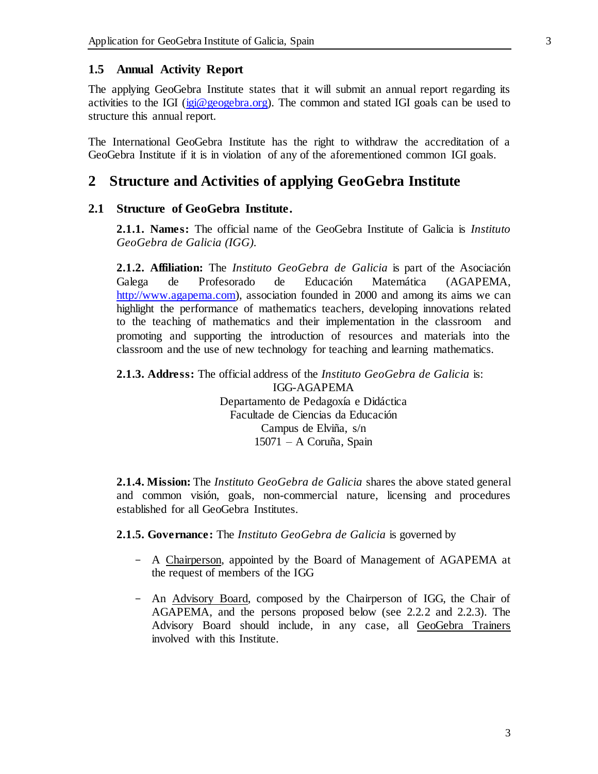### **1.5 Annual Activity Report**

The applying GeoGebra Institute states that it will submit an annual report regarding its activities to the IGI [\(igi@geogebra.org\).](mailto:igi@geogebra.org) The common and stated IGI goals can be used to structure this annual report.

The International GeoGebra Institute has the right to withdraw the accreditation of a GeoGebra Institute if it is in violation of any of the aforementioned common IGI goals.

## **2 Structure and Activities of applying GeoGebra Institute**

## **2.1 Structure of GeoGebra Institute.**

**2.1.1. Names:** The official name of the GeoGebra Institute of Galicia is *Instituto GeoGebra de Galicia (IGG).*

**2.1.2. Affiliation:** The *Instituto GeoGebra de Galicia* is part of the Asociación Galega de Profesorado de Educación Matemática (AGAPEMA, [http://www.agapema.com\)](http://www.agapema.com/), association founded in 2000 and among its aims we can highlight the performance of mathematics teachers, developing innovations related to the teaching of mathematics and their implementation in the classroom and promoting and supporting the introduction of resources and materials into the classroom and the use of new technology for teaching and learning mathematics.

**2.1.3. Address:** The official address of the *Instituto GeoGebra de Galicia* is: IGG-AGAPEMA Departamento de Pedagoxía e Didáctica Facultade de Ciencias da Educación

Campus de Elviña, s/n 15071 – A Coruña, Spain

**2.1.4. Mission:** The *Instituto GeoGebra de Galicia* shares the above stated general and common visión, goals, non-commercial nature, licensing and procedures established for all GeoGebra Institutes.

**2.1.5. Governance:** The *Instituto GeoGebra de Galicia* is governed by

- A Chairperson, appointed by the Board of Management of AGAPEMA at the request of members of the IGG
- An Advisory Board, composed by the Chairperson of IGG, the Chair of AGAPEMA, and the persons proposed below (see 2.2.2 and 2.2.3). The Advisory Board should include, in any case, all GeoGebra Trainers involved with this Institute.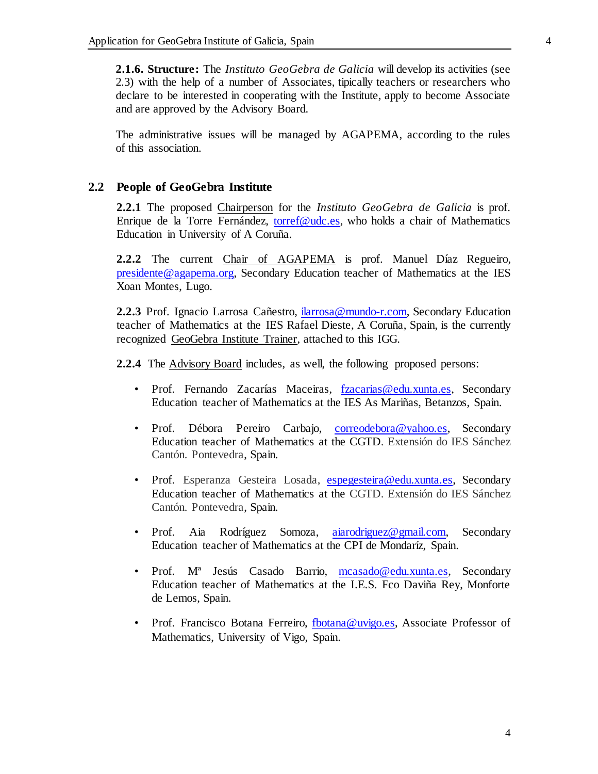**2.1.6. Structure:** The *Instituto GeoGebra de Galicia* will develop its activities (see 2.3) with the help of a number of Associates, tipically teachers or researchers who declare to be interested in cooperating with the Institute, apply to become Associate and are approved by the Advisory Board.

The administrative issues will be managed by AGAPEMA, according to the rules of this association.

#### **2.2 People of GeoGebra Institute**

**2.2.1** The proposed Chairperson for the *Instituto GeoGebra de Galicia* is prof. Enrique de la Torre Fernández[, torref@udc.es](mailto:torref@udc.es), who holds a chair of Mathematics Education in University of A Coruña.

**2.2.2** The current Chair of AGAPEMA is prof. Manuel Díaz Regueiro, [presidente@agapema.org,](mailto:presidente@agapema.org) Secondary Education teacher of Mathematics at the IES Xoan Montes, Lugo.

**2.2.3** Prof. Ignacio Larrosa Cañestr[o, ilarrosa@mundo-r.com](mailto:ilarrosa@mundo-r.com), Secondary Education teacher of Mathematics at the IES Rafael Dieste, A Coruña, Spain, is the currently recognized GeoGebra Institute Trainer, attached to this IGG.

**2.2.4** The Advisory Board includes, as well, the following proposed persons:

- Prof. Fernando Zacarías Maceiras, [fzacarias@edu.xunta.es](mailto:fzacarias@edu.xunta.es), Secondary Education teacher of Mathematics at the IES As Mariñas, Betanzos, Spain.
- Prof. Débora Pereiro Carbajo, [correodebora@yahoo.es](mailto:correodebora@yahoo.es), Secondary Education teacher of Mathematics at the CGTD. Extensión do IES Sánchez Cantón. Pontevedra, Spain.
- Prof. Esperanza Gesteira Losada, [espegesteira@edu.xunta.es,](mailto:espegesteira@edu.xunta.es) Secondary Education teacher of Mathematics at the CGTD. Extensión do IES Sánchez Cantón. Pontevedra, Spain.
- Prof. Aia Rodríguez Somoza, [aiarodriguez@gmail.com,](mailto:aiarodriguez@gmail.com) Secondary Education teacher of Mathematics at the CPI de Mondaríz, Spain.
- Prof. Mª Jesús Casado Barrio, [mcasado@edu.xunta.es](mailto:mcasado@edu.xunta.es), Secondary Education teacher of Mathematics at the I.E.S. Fco Daviña Rey, Monforte de Lemos, Spain.
- Prof. Francisco Botana Ferreiro[, fbotana@uvigo.es,](mailto:fbotana@uvigo.es) Associate Professor of Mathematics, University of Vigo, Spain.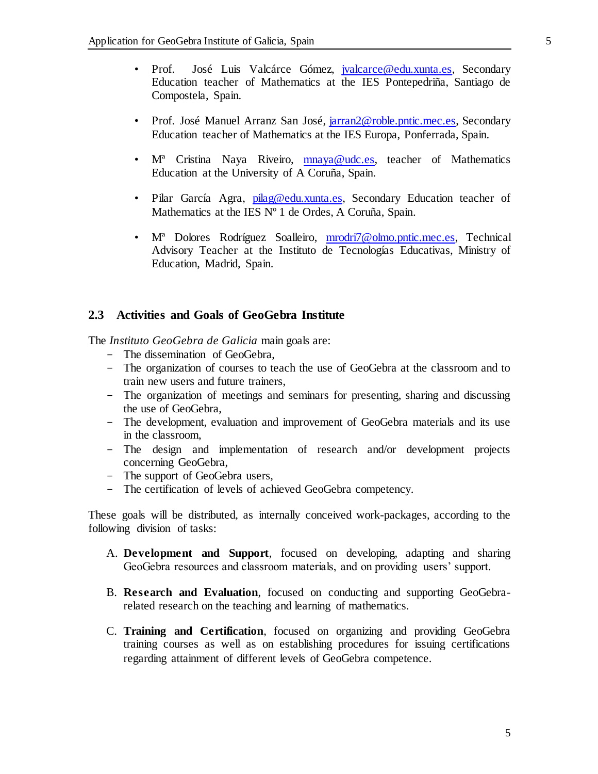- Prof. José Luis Valcárce Gómez, *jvalcarce@edu.xunta.es*, Secondary Education teacher of Mathematics at the IES Pontepedriña, Santiago de Compostela, Spain.
- Prof. José Manuel Arranz San José, *jarran2@roble.pntic.mec.es*, Secondary Education teacher of Mathematics at the IES Europa, Ponferrada, Spain.
- M<sup>a</sup> Cristina Naya Riveiro, [mnaya@udc.es,](mailto:mnaya@udc.es) teacher of Mathematics Education at the University of A Coruña, Spain.
- Pilar García Agra, [pilag@edu.xunta.es,](mailto:pilag@edu.xunta.es) Secondary Education teacher of Mathematics at the IES N° 1 de Ordes, A Coruña, Spain.
- Mª Dolores Rodríguez Soalleiro, [mrodri7@olmo.pntic.mec.es,](mailto:mrodri7@olmo.pntic.mec.es) Technical Advisory Teacher at the Instituto de Tecnologías Educativas, Ministry of Education, Madrid, Spain.

## **2.3 Activities and Goals of GeoGebra Institute**

The *Instituto GeoGebra de Galicia* main goals are:

- The dissemination of GeoGebra,
- The organization of courses to teach the use of GeoGebra at the classroom and to train new users and future trainers,
- The organization of meetings and seminars for presenting, sharing and discussing the use of GeoGebra,
- The development, evaluation and improvement of GeoGebra materials and its use in the classroom,
- The design and implementation of research and/or development projects concerning GeoGebra,
- The support of GeoGebra users,
- The certification of levels of achieved GeoGebra competency.

These goals will be distributed, as internally conceived work-packages, according to the following division of tasks:

- A. **Development and Support**, focused on developing, adapting and sharing GeoGebra resources and classroom materials, and on providing users' support.
- B. **Research and Evaluation**, focused on conducting and supporting GeoGebrarelated research on the teaching and learning of mathematics.
- C. **Training and Certification**, focused on organizing and providing GeoGebra training courses as well as on establishing procedures for issuing certifications regarding attainment of different levels of GeoGebra competence.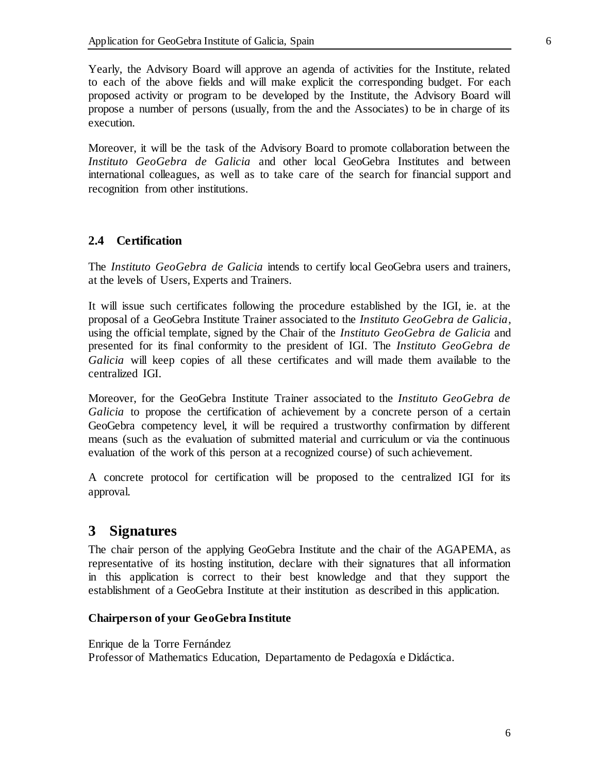Yearly, the Advisory Board will approve an agenda of activities for the Institute, related to each of the above fields and will make explicit the corresponding budget. For each proposed activity or program to be developed by the Institute, the Advisory Board will propose a number of persons (usually, from the and the Associates) to be in charge of its execution.

Moreover, it will be the task of the Advisory Board to promote collaboration between the *Instituto GeoGebra de Galicia* and other local GeoGebra Institutes and between international colleagues, as well as to take care of the search for financial support and recognition from other institutions.

## **2.4 Certification**

The *Instituto GeoGebra de Galicia* intends to certify local GeoGebra users and trainers, at the levels of Users, Experts and Trainers.

It will issue such certificates following the procedure established by the IGI, ie. at the proposal of a GeoGebra Institute Trainer associated to the *Instituto GeoGebra de Galicia*, using the official template, signed by the Chair of the *Instituto GeoGebra de Galicia* and presented for its final conformity to the president of IGI. The *Instituto GeoGebra de Galicia* will keep copies of all these certificates and will made them available to the centralized IGI.

Moreover, for the GeoGebra Institute Trainer associated to the *Instituto GeoGebra de Galicia* to propose the certification of achievement by a concrete person of a certain GeoGebra competency level, it will be required a trustworthy confirmation by different means (such as the evaluation of submitted material and curriculum or via the continuous evaluation of the work of this person at a recognized course) of such achievement.

A concrete protocol for certification will be proposed to the centralized IGI for its approval.

# **3 Signatures**

The chair person of the applying GeoGebra Institute and the chair of the AGAPEMA, as representative of its hosting institution, declare with their signatures that all information in this application is correct to their best knowledge and that they support the establishment of a GeoGebra Institute at their institution as described in this application.

## **Chairperson of your GeoGebra Institute**

Enrique de la Torre Fernández Professor of Mathematics Education, Departamento de Pedagoxía e Didáctica.